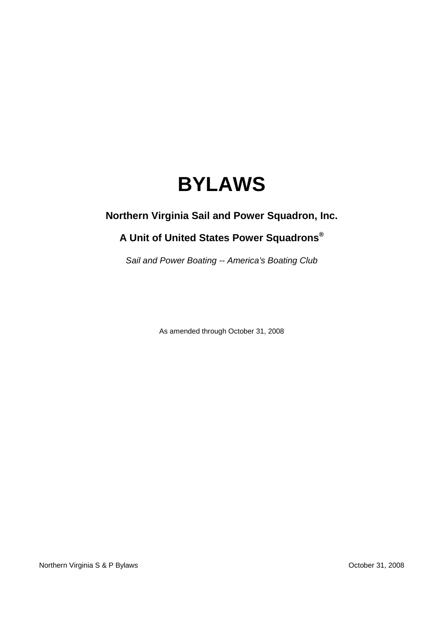# **BYLAWS**

### **Northern Virginia Sail and Power Squadron, Inc.**

## **A Unit of United States Power Squadrons®**

Sail and Power Boating -- America's Boating Club

As amended through October 31, 2008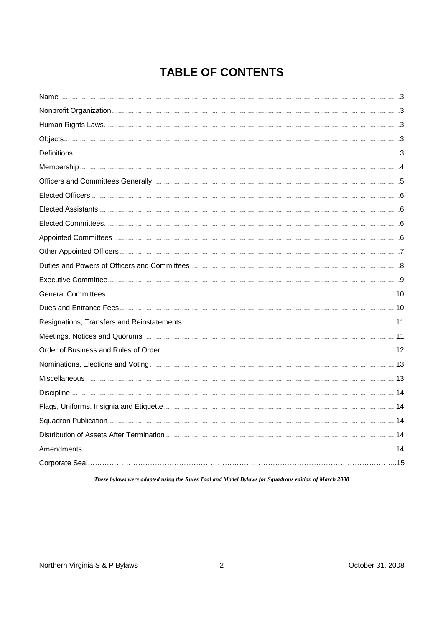# **TABLE OF CONTENTS**

These bylaws were adapted using the Rules Tool and Model Bylaws for Squadrons edition of March 2008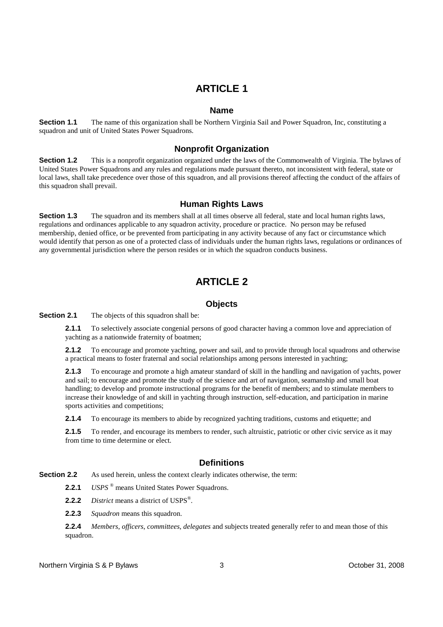#### **Name**

**Section 1.1** The name of this organization shall be Northern Virginia Sail and Power Squadron, Inc, constituting a squadron and unit of United States Power Squadrons.

### **Nonprofit Organization**

**Section 1.2** This is a nonprofit organization organized under the laws of the Commonwealth of Virginia. The bylaws of United States Power Squadrons and any rules and regulations made pursuant thereto, not inconsistent with federal, state or local laws, shall take precedence over those of this squadron, and all provisions thereof affecting the conduct of the affairs of this squadron shall prevail.

### **Human Rights Laws**

**Section 1.3** The squadron and its members shall at all times observe all federal, state and local human rights laws, regulations and ordinances applicable to any squadron activity, procedure or practice. No person may be refused membership, denied office, or be prevented from participating in any activity because of any fact or circumstance which would identify that person as one of a protected class of individuals under the human rights laws, regulations or ordinances of any governmental jurisdiction where the person resides or in which the squadron conducts business.

### **ARTICLE 2**

#### **Objects**

**Section 2.1** The objects of this squadron shall be:

**2.1.1** To selectively associate congenial persons of good character having a common love and appreciation of yachting as a nationwide fraternity of boatmen;

**2.1.2** To encourage and promote yachting, power and sail, and to provide through local squadrons and otherwise a practical means to foster fraternal and social relationships among persons interested in yachting;

**2.1.3** To encourage and promote a high amateur standard of skill in the handling and navigation of yachts, power and sail; to encourage and promote the study of the science and art of navigation, seamanship and small boat handling; to develop and promote instructional programs for the benefit of members; and to stimulate members to increase their knowledge of and skill in yachting through instruction, self-education, and participation in marine sports activities and competitions;

**2.1.4** To encourage its members to abide by recognized yachting traditions, customs and etiquette; and

2.1.5 To render, and encourage its members to render, such altruistic, patriotic or other civic service as it may from time to time determine or elect.

#### **Definitions**

**Section 2.2** As used herein, unless the context clearly indicates otherwise, the term:

2.2.1 *USPS*<sup>®</sup> means United States Power Squadrons.

**2.2.2** *District* means a district of USPS® .

**2.2.3** *Squadron* means this squadron.

**2.2.4** *Members*, *officers*, *committees*, *delegates* and subjects treated generally refer to and mean those of this squadron.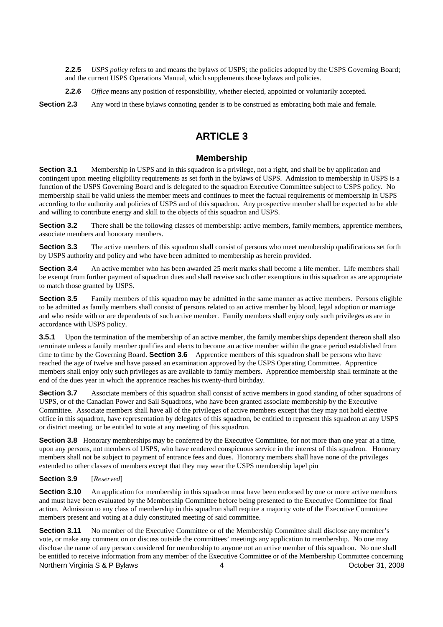**2.2.5** *USPS policy* refers to and means the bylaws of USPS; the policies adopted by the USPS Governing Board; and the current USPS Operations Manual, which supplements those bylaws and policies.

**2.2.6** *Office* means any position of responsibility, whether elected, appointed or voluntarily accepted.

**Section 2.3** Any word in these bylaws connoting gender is to be construed as embracing both male and female.

### **ARTICLE 3**

### **Membership**

**Section 3.1** Membership in USPS and in this squadron is a privilege, not a right, and shall be by application and contingent upon meeting eligibility requirements as set forth in the bylaws of USPS. Admission to membership in USPS is a function of the USPS Governing Board and is delegated to the squadron Executive Committee subject to USPS policy. No membership shall be valid unless the member meets and continues to meet the factual requirements of membership in USPS according to the authority and policies of USPS and of this squadron. Any prospective member shall be expected to be able and willing to contribute energy and skill to the objects of this squadron and USPS.

**Section 3.2** There shall be the following classes of membership: active members, family members, apprentice members, associate members and honorary members.

**Section 3.3** The active members of this squadron shall consist of persons who meet membership qualifications set forth by USPS authority and policy and who have been admitted to membership as herein provided.

**Section 3.4** An active member who has been awarded 25 merit marks shall become a life member. Life members shall be exempt from further payment of squadron dues and shall receive such other exemptions in this squadron as are appropriate to match those granted by USPS.

**Section 3.5** Family members of this squadron may be admitted in the same manner as active members. Persons eligible to be admitted as family members shall consist of persons related to an active member by blood, legal adoption or marriage and who reside with or are dependents of such active member. Family members shall enjoy only such privileges as are in accordance with USPS policy.

**3.5.1** Upon the termination of the membership of an active member, the family memberships dependent thereon shall also terminate unless a family member qualifies and elects to become an active member within the grace period established from time to time by the Governing Board. **Section 3.6** Apprentice members of this squadron shall be persons who have reached the age of twelve and have passed an examination approved by the USPS Operating Committee. Apprentice members shall enjoy only such privileges as are available to family members. Apprentice membership shall terminate at the end of the dues year in which the apprentice reaches his twenty-third birthday.

**Section 3.7** Associate members of this squadron shall consist of active members in good standing of other squadrons of USPS, or of the Canadian Power and Sail Squadrons, who have been granted associate membership by the Executive Committee. Associate members shall have all of the privileges of active members except that they may not hold elective office in this squadron, have representation by delegates of this squadron, be entitled to represent this squadron at any USPS or district meeting, or be entitled to vote at any meeting of this squadron.

**Section 3.8** Honorary memberships may be conferred by the Executive Committee, for not more than one year at a time, upon any persons, not members of USPS, who have rendered conspicuous service in the interest of this squadron. Honorary members shall not be subject to payment of entrance fees and dues. Honorary members shall have none of the privileges extended to other classes of members except that they may wear the USPS membership lapel pin

#### **Section 3.9** [*Reserved*]

**Section 3.10** An application for membership in this squadron must have been endorsed by one or more active members and must have been evaluated by the Membership Committee before being presented to the Executive Committee for final action. Admission to any class of membership in this squadron shall require a majority vote of the Executive Committee members present and voting at a duly constituted meeting of said committee.

Northern Virginia S & P Bylaws 4 Coroler 31, 2008 **Section 3.11** No member of the Executive Committee or of the Membership Committee shall disclose any member's vote, or make any comment on or discuss outside the committees' meetings any application to membership. No one may disclose the name of any person considered for membership to anyone not an active member of this squadron. No one shall be entitled to receive information from any member of the Executive Committee or of the Membership Committee concerning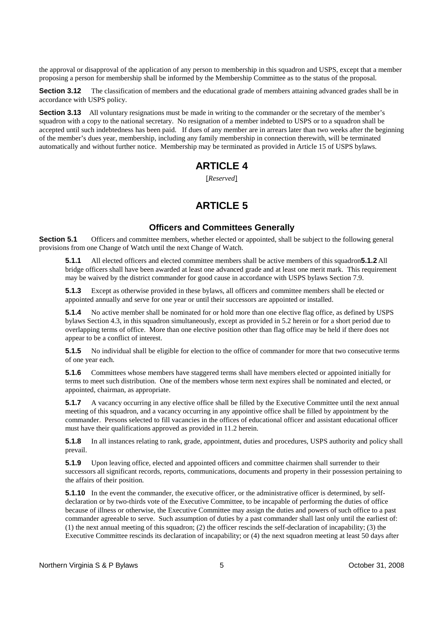the approval or disapproval of the application of any person to membership in this squadron and USPS, except that a member proposing a person for membership shall be informed by the Membership Committee as to the status of the proposal.

**Section 3.12** The classification of members and the educational grade of members attaining advanced grades shall be in accordance with USPS policy.

**Section 3.13** All voluntary resignations must be made in writing to the commander or the secretary of the member's squadron with a copy to the national secretary. No resignation of a member indebted to USPS or to a squadron shall be accepted until such indebtedness has been paid. If dues of any member are in arrears later than two weeks after the beginning of the member's dues year, membership, including any family membership in connection therewith, will be terminated automatically and without further notice. Membership may be terminated as provided in Article 15 of USPS bylaws.

### **ARTICLE 4**

[*Reserved*]

### **ARTICLE 5**

#### **Officers and Committees Generally**

**Section 5.1** Officers and committee members, whether elected or appointed, shall be subject to the following general provisions from one Change of Watch until the next Change of Watch.

**5.1.1** All elected officers and elected committee members shall be active members of this squadron**5.1.2** All bridge officers shall have been awarded at least one advanced grade and at least one merit mark. This requirement may be waived by the district commander for good cause in accordance with USPS bylaws Section 7.9.

**5.1.3** Except as otherwise provided in these bylaws, all officers and committee members shall be elected or appointed annually and serve for one year or until their successors are appointed or installed.

**5.1.4** No active member shall be nominated for or hold more than one elective flag office, as defined by USPS bylaws Section 4.3, in this squadron simultaneously, except as provided in 5.2 herein or for a short period due to overlapping terms of office. More than one elective position other than flag office may be held if there does not appear to be a conflict of interest.

**5.1.5** No individual shall be eligible for election to the office of commander for more that two consecutive terms of one year each.

**5.1.6** Committees whose members have staggered terms shall have members elected or appointed initially for terms to meet such distribution. One of the members whose term next expires shall be nominated and elected, or appointed, chairman, as appropriate.

**5.1.7** A vacancy occurring in any elective office shall be filled by the Executive Committee until the next annual meeting of this squadron, and a vacancy occurring in any appointive office shall be filled by appointment by the commander. Persons selected to fill vacancies in the offices of educational officer and assistant educational officer must have their qualifications approved as provided in 11.2 herein.

**5.1.8** In all instances relating to rank, grade, appointment, duties and procedures, USPS authority and policy shall prevail.

**5.1.9** Upon leaving office, elected and appointed officers and committee chairmen shall surrender to their successors all significant records, reports, communications, documents and property in their possession pertaining to the affairs of their position.

**5.1.10** In the event the commander, the executive officer, or the administrative officer is determined, by selfdeclaration or by two-thirds vote of the Executive Committee, to be incapable of performing the duties of office because of illness or otherwise, the Executive Committee may assign the duties and powers of such office to a past commander agreeable to serve. Such assumption of duties by a past commander shall last only until the earliest of: (1) the next annual meeting of this squadron; (2) the officer rescinds the self-declaration of incapability; (3) the Executive Committee rescinds its declaration of incapability; or (4) the next squadron meeting at least 50 days after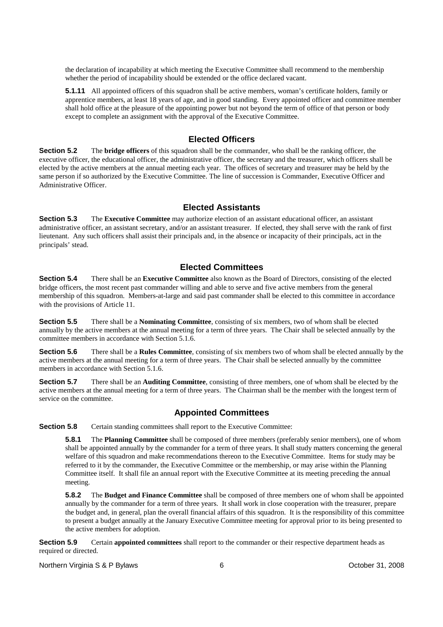the declaration of incapability at which meeting the Executive Committee shall recommend to the membership whether the period of incapability should be extended or the office declared vacant.

**5.1.11** All appointed officers of this squadron shall be active members, woman's certificate holders, family or apprentice members, at least 18 years of age, and in good standing. Every appointed officer and committee member shall hold office at the pleasure of the appointing power but not beyond the term of office of that person or body except to complete an assignment with the approval of the Executive Committee.

### **Elected Officers**

**Section 5.2** The **bridge officers** of this squadron shall be the commander, who shall be the ranking officer, the executive officer, the educational officer, the administrative officer, the secretary and the treasurer, which officers shall be elected by the active members at the annual meeting each year. The offices of secretary and treasurer may be held by the same person if so authorized by the Executive Committee. The line of succession is Commander, Executive Officer and Administrative Officer.

#### **Elected Assistants**

**Section 5.3** The **Executive Committee** may authorize election of an assistant educational officer, an assistant administrative officer, an assistant secretary, and/or an assistant treasurer. If elected, they shall serve with the rank of first lieutenant. Any such officers shall assist their principals and, in the absence or incapacity of their principals, act in the principals' stead.

### **Elected Committees**

**Section 5.4** There shall be an **Executive Committee** also known as the Board of Directors, consisting of the elected bridge officers, the most recent past commander willing and able to serve and five active members from the general membership of this squadron. Members-at-large and said past commander shall be elected to this committee in accordance with the provisions of Article 11.

**Section 5.5** There shall be a **Nominating Committee**, consisting of six members, two of whom shall be elected annually by the active members at the annual meeting for a term of three years. The Chair shall be selected annually by the committee members in accordance with Section 5.1.6.

**Section 5.6** There shall be a **Rules Committee**, consisting of six members two of whom shall be elected annually by the active members at the annual meeting for a term of three years. The Chair shall be selected annually by the committee members in accordance with Section 5.1.6.

**Section 5.7** There shall be an **Auditing Committee**, consisting of three members, one of whom shall be elected by the active members at the annual meeting for a term of three years. The Chairman shall be the member with the longest term of service on the committee.

### **Appointed Committees**

**Section 5.8** Certain standing committees shall report to the Executive Committee:

**5.8.1** The **Planning Committee** shall be composed of three members (preferably senior members), one of whom shall be appointed annually by the commander for a term of three years. It shall study matters concerning the general welfare of this squadron and make recommendations thereon to the Executive Committee. Items for study may be referred to it by the commander, the Executive Committee or the membership, or may arise within the Planning Committee itself. It shall file an annual report with the Executive Committee at its meeting preceding the annual meeting.

**5.8.2** The **Budget and Finance Committee** shall be composed of three members one of whom shall be appointed annually by the commander for a term of three years. It shall work in close cooperation with the treasurer, prepare the budget and, in general, plan the overall financial affairs of this squadron. It is the responsibility of this committee to present a budget annually at the January Executive Committee meeting for approval prior to its being presented to the active members for adoption.

**Section 5.9** Certain **appointed committees** shall report to the commander or their respective department heads as required or directed.

Northern Virginia S & P Bylaws 6 **6** Corober 31, 2008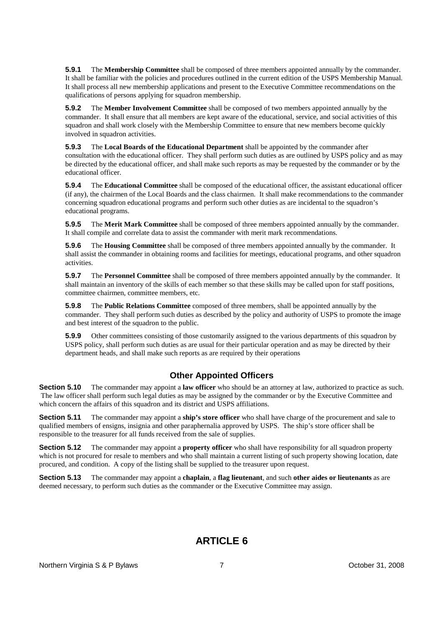**5.9.1** The **Membership Committee** shall be composed of three members appointed annually by the commander. It shall be familiar with the policies and procedures outlined in the current edition of the USPS Membership Manual. It shall process all new membership applications and present to the Executive Committee recommendations on the qualifications of persons applying for squadron membership.

**5.9.2** The **Member Involvement Committee** shall be composed of two members appointed annually by the commander. It shall ensure that all members are kept aware of the educational, service, and social activities of this squadron and shall work closely with the Membership Committee to ensure that new members become quickly involved in squadron activities.

**5.9.3** The **Local Boards of the Educational Department** shall be appointed by the commander after consultation with the educational officer. They shall perform such duties as are outlined by USPS policy and as may be directed by the educational officer, and shall make such reports as may be requested by the commander or by the educational officer.

**5.9.4** The **Educational Committee** shall be composed of the educational officer, the assistant educational officer (if any), the chairmen of the Local Boards and the class chairmen. It shall make recommendations to the commander concerning squadron educational programs and perform such other duties as are incidental to the squadron's educational programs.

**5.9.5** The **Merit Mark Committee** shall be composed of three members appointed annually by the commander. It shall compile and correlate data to assist the commander with merit mark recommendations.

**5.9.6** The **Housing Committee** shall be composed of three members appointed annually by the commander. It shall assist the commander in obtaining rooms and facilities for meetings, educational programs, and other squadron activities.

**5.9.7** The **Personnel Committee** shall be composed of three members appointed annually by the commander. It shall maintain an inventory of the skills of each member so that these skills may be called upon for staff positions, committee chairmen, committee members, etc.

**5.9.8** The **Public Relations Committee** composed of three members, shall be appointed annually by the commander. They shall perform such duties as described by the policy and authority of USPS to promote the image and best interest of the squadron to the public.

**5.9.9** Other committees consisting of those customarily assigned to the various departments of this squadron by USPS policy, shall perform such duties as are usual for their particular operation and as may be directed by their department heads, and shall make such reports as are required by their operations

### **Other Appointed Officers**

**Section 5.10** The commander may appoint a **law officer** who should be an attorney at law, authorized to practice as such. The law officer shall perform such legal duties as may be assigned by the commander or by the Executive Committee and which concern the affairs of this squadron and its district and USPS affiliations.

**Section 5.11** The commander may appoint a **ship's store officer** who shall have charge of the procurement and sale to qualified members of ensigns, insignia and other paraphernalia approved by USPS. The ship's store officer shall be responsible to the treasurer for all funds received from the sale of supplies.

**Section 5.12** The commander may appoint a **property officer** who shall have responsibility for all squadron property which is not procured for resale to members and who shall maintain a current listing of such property showing location, date procured, and condition. A copy of the listing shall be supplied to the treasurer upon request.

**Section 5.13** The commander may appoint a **chaplain**, a **flag lieutenant**, and such **other aides or lieutenants** as are deemed necessary, to perform such duties as the commander or the Executive Committee may assign.

### **ARTICLE 6**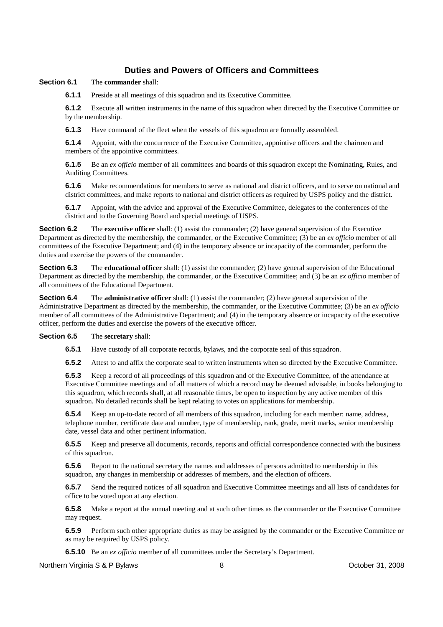### **Duties and Powers of Officers and Committees**

#### **Section 6.1** The **commander** shall:

**6.1.1** Preside at all meetings of this squadron and its Executive Committee.

**6.1.2** Execute all written instruments in the name of this squadron when directed by the Executive Committee or by the membership.

**6.1.3** Have command of the fleet when the vessels of this squadron are formally assembled.

**6.1.4** Appoint, with the concurrence of the Executive Committee, appointive officers and the chairmen and members of the appointive committees.

**6.1.5** Be an *ex officio* member of all committees and boards of this squadron except the Nominating, Rules, and Auditing Committees.

**6.1.6** Make recommendations for members to serve as national and district officers, and to serve on national and district committees, and make reports to national and district officers as required by USPS policy and the district.

**6.1.7** Appoint, with the advice and approval of the Executive Committee, delegates to the conferences of the district and to the Governing Board and special meetings of USPS.

**Section 6.2** The **executive officer** shall: (1) assist the commander; (2) have general supervision of the Executive Department as directed by the membership, the commander, or the Executive Committee; (3) be an *ex officio* member of all committees of the Executive Department; and (4) in the temporary absence or incapacity of the commander, perform the duties and exercise the powers of the commander.

**Section 6.3** The **educational officer** shall: (1) assist the commander; (2) have general supervision of the Educational Department as directed by the membership, the commander, or the Executive Committee; and (3) be an *ex officio* member of all committees of the Educational Department.

**Section 6.4** The **administrative officer** shall: (1) assist the commander; (2) have general supervision of the Administrative Department as directed by the membership, the commander, or the Executive Committee; (3) be an *ex officio* member of all committees of the Administrative Department; and (4) in the temporary absence or incapacity of the executive officer, perform the duties and exercise the powers of the executive officer.

**Section 6.5** The **secretary** shall:

**6.5.1** Have custody of all corporate records, bylaws, and the corporate seal of this squadron.

**6.5.2** Attest to and affix the corporate seal to written instruments when so directed by the Executive Committee.

**6.5.3** Keep a record of all proceedings of this squadron and of the Executive Committee, of the attendance at Executive Committee meetings and of all matters of which a record may be deemed advisable, in books belonging to this squadron, which records shall, at all reasonable times, be open to inspection by any active member of this squadron. No detailed records shall be kept relating to votes on applications for membership.

**6.5.4** Keep an up-to-date record of all members of this squadron, including for each member: name, address, telephone number, certificate date and number, type of membership, rank, grade, merit marks, senior membership date, vessel data and other pertinent information.

**6.5.5** Keep and preserve all documents, records, reports and official correspondence connected with the business of this squadron.

**6.5.6** Report to the national secretary the names and addresses of persons admitted to membership in this squadron, any changes in membership or addresses of members, and the election of officers.

**6.5.7** Send the required notices of all squadron and Executive Committee meetings and all lists of candidates for office to be voted upon at any election.

**6.5.8** Make a report at the annual meeting and at such other times as the commander or the Executive Committee may request.

**6.5.9** Perform such other appropriate duties as may be assigned by the commander or the Executive Committee or as may be required by USPS policy.

**6.5.10** Be an *ex officio* member of all committees under the Secretary's Department.

Northern Virginia S & P Bylaws 8 and 8 and 8 Section 1, 2008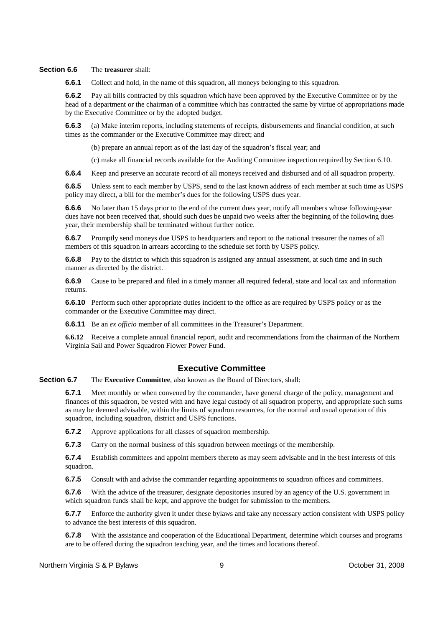#### **Section 6.6** The **treasurer** shall:

**6.6.1** Collect and hold, in the name of this squadron, all moneys belonging to this squadron.

**6.6.2** Pay all bills contracted by this squadron which have been approved by the Executive Committee or by the head of a department or the chairman of a committee which has contracted the same by virtue of appropriations made by the Executive Committee or by the adopted budget.

**6.6.3** (a) Make interim reports, including statements of receipts, disbursements and financial condition, at such times as the commander or the Executive Committee may direct; and

(b) prepare an annual report as of the last day of the squadron's fiscal year; and

(c) make all financial records available for the Auditing Committee inspection required by Section 6.10.

**6.6.4** Keep and preserve an accurate record of all moneys received and disbursed and of all squadron property.

**6.6.5** Unless sent to each member by USPS, send to the last known address of each member at such time as USPS policy may direct, a bill for the member's dues for the following USPS dues year.

**6.6.6** No later than 15 days prior to the end of the current dues year, notify all members whose following-year dues have not been received that, should such dues be unpaid two weeks after the beginning of the following dues year, their membership shall be terminated without further notice.

**6.6.7** Promptly send moneys due USPS to headquarters and report to the national treasurer the names of all members of this squadron in arrears according to the schedule set forth by USPS policy.

**6.6.8** Pay to the district to which this squadron is assigned any annual assessment, at such time and in such manner as directed by the district.

**6.6.9** Cause to be prepared and filed in a timely manner all required federal, state and local tax and information returns.

**6.6.10** Perform such other appropriate duties incident to the office as are required by USPS policy or as the commander or the Executive Committee may direct.

**6.6.11** Be an *ex officio* member of all committees in the Treasurer's Department.

**6.6.12** Receive a complete annual financial report, audit and recommendations from the chairman of the Northern Virginia Sail and Power Squadron Flower Power Fund.

#### **Executive Committee**

**Section 6.7** The **Executive Committee**, also known as the Board of Directors, shall:

**6.7.1** Meet monthly or when convened by the commander, have general charge of the policy, management and finances of this squadron, be vested with and have legal custody of all squadron property, and appropriate such sums as may be deemed advisable, within the limits of squadron resources, for the normal and usual operation of this squadron, including squadron, district and USPS functions.

**6.7.2** Approve applications for all classes of squadron membership.

**6.7.3** Carry on the normal business of this squadron between meetings of the membership.

**6.7.4** Establish committees and appoint members thereto as may seem advisable and in the best interests of this squadron.

**6.7.5** Consult with and advise the commander regarding appointments to squadron offices and committees.

**6.7.6** With the advice of the treasurer, designate depositories insured by an agency of the U.S. government in which squadron funds shall be kept, and approve the budget for submission to the members.

**6.7.7** Enforce the authority given it under these bylaws and take any necessary action consistent with USPS policy to advance the best interests of this squadron.

**6.7.8** With the assistance and cooperation of the Educational Department, determine which courses and programs are to be offered during the squadron teaching year, and the times and locations thereof.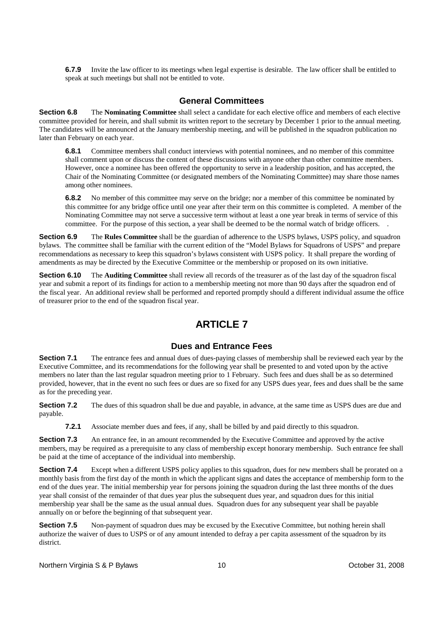**6.7.9** Invite the law officer to its meetings when legal expertise is desirable. The law officer shall be entitled to speak at such meetings but shall not be entitled to vote.

#### **General Committees**

**Section 6.8** The **Nominating Committee** shall select a candidate for each elective office and members of each elective committee provided for herein, and shall submit its written report to the secretary by December 1 prior to the annual meeting. The candidates will be announced at the January membership meeting, and will be published in the squadron publication no later than February on each year.

**6.8.1** Committee members shall conduct interviews with potential nominees, and no member of this committee shall comment upon or discuss the content of these discussions with anyone other than other committee members. However, once a nominee has been offered the opportunity to serve in a leadership position, and has accepted, the Chair of the Nominating Committee (or designated members of the Nominating Committee) may share those names among other nominees.

**6.8.2** No member of this committee may serve on the bridge; nor a member of this committee be nominated by this committee for any bridge office until one year after their term on this committee is completed. A member of the Nominating Committee may not serve a successive term without at least a one year break in terms of service of this committee. For the purpose of this section, a year shall be deemed to be the normal watch of bridge officers. .

**Section 6.9** The **Rules Committee** shall be the guardian of adherence to the USPS bylaws, USPS policy, and squadron bylaws. The committee shall be familiar with the current edition of the "Model Bylaws for Squadrons of USPS" and prepare recommendations as necessary to keep this squadron's bylaws consistent with USPS policy. It shall prepare the wording of amendments as may be directed by the Executive Committee or the membership or proposed on its own initiative.

**Section 6.10** The **Auditing Committee** shall review all records of the treasurer as of the last day of the squadron fiscal year and submit a report of its findings for action to a membership meeting not more than 90 days after the squadron end of the fiscal year. An additional review shall be performed and reported promptly should a different individual assume the office of treasurer prior to the end of the squadron fiscal year.

### **ARTICLE 7**

#### **Dues and Entrance Fees**

**Section 7.1** The entrance fees and annual dues of dues-paying classes of membership shall be reviewed each year by the Executive Committee, and its recommendations for the following year shall be presented to and voted upon by the active members no later than the last regular squadron meeting prior to 1 February. Such fees and dues shall be as so determined provided, however, that in the event no such fees or dues are so fixed for any USPS dues year, fees and dues shall be the same as for the preceding year.

**Section 7.2** The dues of this squadron shall be due and payable, in advance, at the same time as USPS dues are due and payable.

**7.2.1** Associate member dues and fees, if any, shall be billed by and paid directly to this squadron.

**Section 7.3** An entrance fee, in an amount recommended by the Executive Committee and approved by the active members, may be required as a prerequisite to any class of membership except honorary membership. Such entrance fee shall be paid at the time of acceptance of the individual into membership.

**Section 7.4** Except when a different USPS policy applies to this squadron, dues for new members shall be prorated on a monthly basis from the first day of the month in which the applicant signs and dates the acceptance of membership form to the end of the dues year. The initial membership year for persons joining the squadron during the last three months of the dues year shall consist of the remainder of that dues year plus the subsequent dues year, and squadron dues for this initial membership year shall be the same as the usual annual dues. Squadron dues for any subsequent year shall be payable annually on or before the beginning of that subsequent year.

**Section 7.5** Non-payment of squadron dues may be excused by the Executive Committee, but nothing herein shall authorize the waiver of dues to USPS or of any amount intended to defray a per capita assessment of the squadron by its district.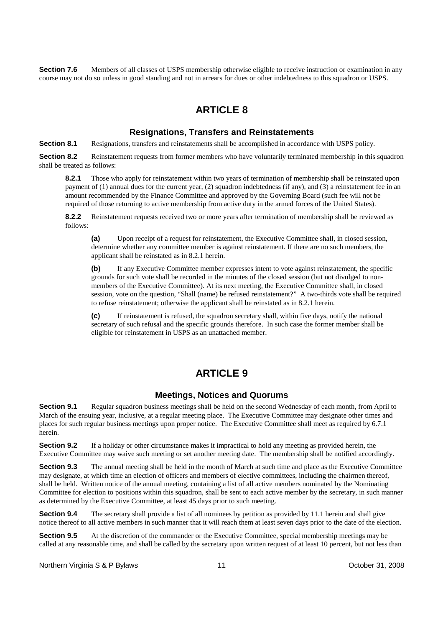**Section 7.6** Members of all classes of USPS membership otherwise eligible to receive instruction or examination in any course may not do so unless in good standing and not in arrears for dues or other indebtedness to this squadron or USPS.

### **ARTICLE 8**

#### **Resignations, Transfers and Reinstatements**

**Section 8.1** Resignations, transfers and reinstatements shall be accomplished in accordance with USPS policy.

**Section 8.2** Reinstatement requests from former members who have voluntarily terminated membership in this squadron shall be treated as follows:

**8.2.1** Those who apply for reinstatement within two years of termination of membership shall be reinstated upon payment of (1) annual dues for the current year, (2) squadron indebtedness (if any), and (3) a reinstatement fee in an amount recommended by the Finance Committee and approved by the Governing Board (such fee will not be required of those returning to active membership from active duty in the armed forces of the United States).

**8.2.2** Reinstatement requests received two or more years after termination of membership shall be reviewed as follows:

**(a)** Upon receipt of a request for reinstatement, the Executive Committee shall, in closed session, determine whether any committee member is against reinstatement. If there are no such members, the applicant shall be reinstated as in 8.2.1 herein.

**(b)** If any Executive Committee member expresses intent to vote against reinstatement, the specific grounds for such vote shall be recorded in the minutes of the closed session (but not divulged to nonmembers of the Executive Committee). At its next meeting, the Executive Committee shall, in closed session, vote on the question, "Shall (name) be refused reinstatement?" A two-thirds vote shall be required to refuse reinstatement; otherwise the applicant shall be reinstated as in 8.2.1 herein.

**(c)** If reinstatement is refused, the squadron secretary shall, within five days, notify the national secretary of such refusal and the specific grounds therefore. In such case the former member shall be eligible for reinstatement in USPS as an unattached member.

### **ARTICLE 9**

#### **Meetings, Notices and Quorums**

**Section 9.1** Regular squadron business meetings shall be held on the second Wednesday of each month, from April to March of the ensuing year, inclusive, at a regular meeting place. The Executive Committee may designate other times and places for such regular business meetings upon proper notice. The Executive Committee shall meet as required by 6.7.1 herein.

**Section 9.2** If a holiday or other circumstance makes it impractical to hold any meeting as provided herein, the Executive Committee may waive such meeting or set another meeting date. The membership shall be notified accordingly.

**Section 9.3** The annual meeting shall be held in the month of March at such time and place as the Executive Committee may designate, at which time an election of officers and members of elective committees, including the chairmen thereof, shall be held. Written notice of the annual meeting, containing a list of all active members nominated by the Nominating Committee for election to positions within this squadron, shall be sent to each active member by the secretary, in such manner as determined by the Executive Committee, at least 45 days prior to such meeting.

**Section 9.4** The secretary shall provide a list of all nominees by petition as provided by 11.1 herein and shall give notice thereof to all active members in such manner that it will reach them at least seven days prior to the date of the election.

**Section 9.5** At the discretion of the commander or the Executive Committee, special membership meetings may be called at any reasonable time, and shall be called by the secretary upon written request of at least 10 percent, but not less than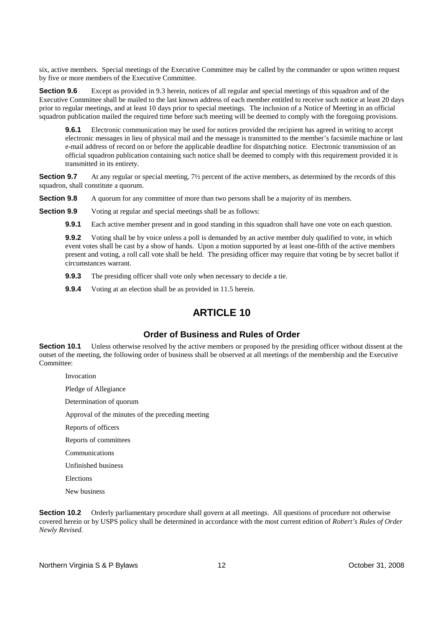six, active members. Special meetings of the Executive Committee may be called by the commander or upon written request by five or more members of the Executive Committee.

**Section 9.6** Except as provided in 9.3 herein, notices of all regular and special meetings of this squadron and of the Executive Committee shall be mailed to the last known address of each member entitled to receive such notice at least 20 days prior to regular meetings, and at least 10 days prior to special meetings. The inclusion of a Notice of Meeting in an official squadron publication mailed the required time before such meeting will be deemed to comply with the foregoing provisions.

**9.6.1** Electronic communication may be used for notices provided the recipient has agreed in writing to accept electronic messages in lieu of physical mail and the message is transmitted to the member's facsimile machine or last e-mail address of record on or before the applicable deadline for dispatching notice. Electronic transmission of an official squadron publication containing such notice shall be deemed to comply with this requirement provided it is transmitted in its entirety.

**Section 9.7** At any regular or special meeting, 7<sup>1</sup>/<sub>2</sub> percent of the active members, as determined by the records of this squadron, shall constitute a quorum.

**Section 9.8** A quorum for any committee of more than two persons shall be a majority of its members.

**Section 9.9** Voting at regular and special meetings shall be as follows:

**9.9.1** Each active member present and in good standing in this squadron shall have one vote on each question.

**9.9.2** Voting shall be by voice unless a poll is demanded by an active member duly qualified to vote, in which event votes shall be cast by a show of hands. Upon a motion supported by at least one-fifth of the active members present and voting, a roll call vote shall be held. The presiding officer may require that voting be by secret ballot if circumstances warrant.

**9.9.3** The presiding officer shall vote only when necessary to decide a tie.

**9.9.4** Voting at an election shall be as provided in 11.5 herein.

### **ARTICLE 10**

#### **Order of Business and Rules of Order**

**Section 10.1** Unless otherwise resolved by the active members or proposed by the presiding officer without dissent at the outset of the meeting, the following order of business shall be observed at all meetings of the membership and the Executive Committee:

Invocation

Pledge of Allegiance

Determination of quorum

Approval of the minutes of the preceding meeting

Reports of officers

Reports of committees

Communications

Unfinished business

Elections

New business

**Section 10.2** Orderly parliamentary procedure shall govern at all meetings. All questions of procedure not otherwise covered herein or by USPS policy shall be determined in accordance with the most current edition of *Robert's Rules of Order Newly Revised.*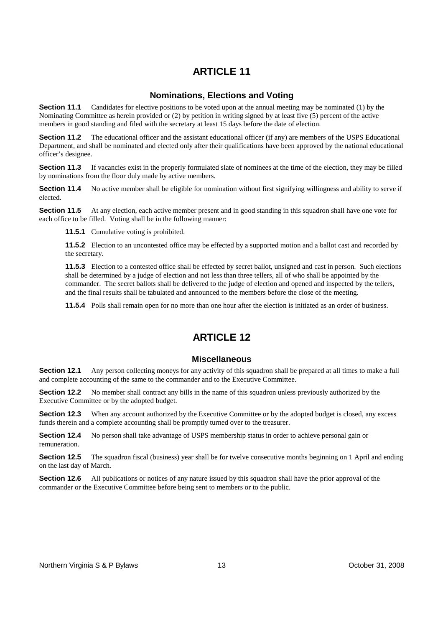### **Nominations, Elections and Voting**

**Section 11.1** Candidates for elective positions to be voted upon at the annual meeting may be nominated (1) by the Nominating Committee as herein provided or (2) by petition in writing signed by at least five (5) percent of the active members in good standing and filed with the secretary at least 15 days before the date of election.

**Section 11.2** The educational officer and the assistant educational officer (if any) are members of the USPS Educational Department, and shall be nominated and elected only after their qualifications have been approved by the national educational officer's designee.

**Section 11.3** If vacancies exist in the properly formulated slate of nominees at the time of the election, they may be filled by nominations from the floor duly made by active members.

**Section 11.4** No active member shall be eligible for nomination without first signifying willingness and ability to serve if elected.

**Section 11.5** At any election, each active member present and in good standing in this squadron shall have one vote for each office to be filled. Voting shall be in the following manner:

**11.5.1** Cumulative voting is prohibited.

**11.5.2** Election to an uncontested office may be effected by a supported motion and a ballot cast and recorded by the secretary.

**11.5.3** Election to a contested office shall be effected by secret ballot, unsigned and cast in person. Such elections shall be determined by a judge of election and not less than three tellers, all of who shall be appointed by the commander. The secret ballots shall be delivered to the judge of election and opened and inspected by the tellers, and the final results shall be tabulated and announced to the members before the close of the meeting.

**11.5.4** Polls shall remain open for no more than one hour after the election is initiated as an order of business.

### **ARTICLE 12**

#### **Miscellaneous**

**Section 12.1** Any person collecting moneys for any activity of this squadron shall be prepared at all times to make a full and complete accounting of the same to the commander and to the Executive Committee.

**Section 12.2** No member shall contract any bills in the name of this squadron unless previously authorized by the Executive Committee or by the adopted budget.

**Section 12.3** When any account authorized by the Executive Committee or by the adopted budget is closed, any excess funds therein and a complete accounting shall be promptly turned over to the treasurer.

**Section 12.4** No person shall take advantage of USPS membership status in order to achieve personal gain or remuneration.

**Section 12.5** The squadron fiscal (business) year shall be for twelve consecutive months beginning on 1 April and ending on the last day of March.

**Section 12.6** All publications or notices of any nature issued by this squadron shall have the prior approval of the commander or the Executive Committee before being sent to members or to the public.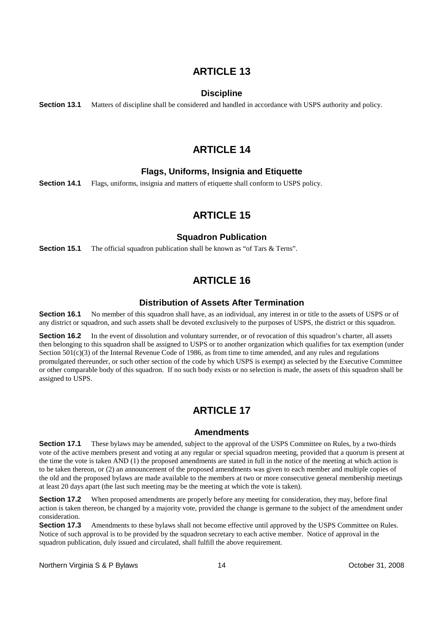#### **Discipline**

**Section 13.1** Matters of discipline shall be considered and handled in accordance with USPS authority and policy.

### **ARTICLE 14**

#### **Flags, Uniforms, Insignia and Etiquette**

**Section 14.1** Flags, uniforms, insignia and matters of etiquette shall conform to USPS policy.

### **ARTICLE 15**

#### **Squadron Publication**

**Section 15.1** The official squadron publication shall be known as "of Tars & Terns".

### **ARTICLE 16**

#### **Distribution of Assets After Termination**

**Section 16.1** No member of this squadron shall have, as an individual, any interest in or title to the assets of USPS or of any district or squadron, and such assets shall be devoted exclusively to the purposes of USPS, the district or this squadron.

**Section 16.2** In the event of dissolution and voluntary surrender, or of revocation of this squadron's charter, all assets then belonging to this squadron shall be assigned to USPS or to another organization which qualifies for tax exemption (under Section 501(c)(3) of the Internal Revenue Code of 1986, as from time to time amended, and any rules and regulations promulgated thereunder, or such other section of the code by which USPS is exempt) as selected by the Executive Committee or other comparable body of this squadron. If no such body exists or no selection is made, the assets of this squadron shall be assigned to USPS.

### **ARTICLE 17**

#### **Amendments**

**Section 17.1** These bylaws may be amended, subject to the approval of the USPS Committee on Rules, by a two-thirds vote of the active members present and voting at any regular or special squadron meeting, provided that a quorum is present at the time the vote is taken AND (1) the proposed amendments are stated in full in the notice of the meeting at which action is to be taken thereon, or (2) an announcement of the proposed amendments was given to each member and multiple copies of the old and the proposed bylaws are made available to the members at two or more consecutive general membership meetings at least 20 days apart (the last such meeting may be the meeting at which the vote is taken).

**Section 17.2** When proposed amendments are properly before any meeting for consideration, they may, before final action is taken thereon, be changed by a majority vote, provided the change is germane to the subject of the amendment under consideration.

**Section 17.3** Amendments to these bylaws shall not become effective until approved by the USPS Committee on Rules. Notice of such approval is to be provided by the squadron secretary to each active member. Notice of approval in the squadron publication, duly issued and circulated, shall fulfill the above requirement.

Northern Virginia S & P Bylaws 14 14 Coroleanse Coroleanse 14 October 31, 2008